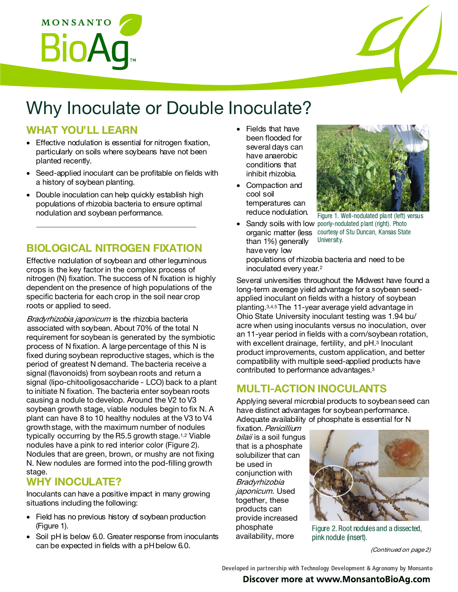

# Why Inoculate or Double Inoculate?

## WHAT YOU'LL LEARN

- Effective nodulation is essential for nitrogen fixation, particularly on soils where soybeans have not been planted recently.
- Seed-applied inoculant can be profitable on fields with a history of soybean planting.
- Double inoculation can help quickly establish high populations of rhizobia bacteria to ensure optimal nodulation and soybean performance.

## BIOLOGICAL NITROGEN FIXATION

Effective nodulation of soybean and other leguminous crops is the key factor in the complex process of nitrogen (N) fixation. The success of N fixation is highly dependent on the presence of high populations of the specific bacteria for each crop in the soil near crop roots or applied to seed.

Bradyrhizobia japonicum is the rhizobia bacteria associated with soybean. About 70% of the total N requirement for soybean is generated by the symbiotic process of N fixation. A large percentage of this N is fixed during soybean reproductive stages, which is the period of greatest N demand. The bacteria receive a signal (flavonoids) from soybean roots and return a signal (lipo-chitooligosaccharide - LCO) back to a plant to initiate N fixation. The bacteria enter soybean roots causing a nodule to develop. Around the V2 to V3 soybean growth stage, viable nodules begin to fix N. A plant can have 8 to 10 healthy nodules at the V3 to V4 growth stage, with the maximum number of nodules typically occurring by the R5.5 growth stage.1,2 Viable nodules have a pink to red interior color (Figure 2). Nodules that are green, brown, or mushy are not fixing N. New nodules are formed into the pod-filling growth stage.

## WHY INOCULATE?

Inoculants can have a positive impact in many growing situations including the following:

- Field has no previous history of soybean production (Figure 1).
- Soil pH is below 6.0. Greater response from inoculants can be expected in fields with a pH below 6.0.
- Fields that have been flooded for several days can have anaerobic conditions that inhibit rhizobia.
- Compaction and cool soil temperatures can reduce nodulation.
- organic matter (less than 1%) generally have very low



Figure 1. Well-nodulated plant (left) versus • Sandy soils with low poorly-nodulated plant (right). Photo courtesy of Stu Duncan, Kansas State University.

populations of rhizobia bacteria and need to be inoculated every year.<sup>2</sup>

Several universities throughout the Midwest have found a long-term average yield advantage for a soybean seedapplied inoculant on fields with a history of soybean planting.3,4,5 The 11-year average yield advantage in Ohio State University inoculant testing was 1.94 bu/ acre when using inoculants versus no inoculation, over an 11-year period in fields with a corn/soybean rotation, with excellent drainage, fertility, and pH.<sup>3</sup> Inoculant product improvements, custom application, and better compatibility with multiple seed-applied products have contributed to performance advantages.<sup>3</sup>

## MULTI-ACTION INOCULANTS

Applying several microbial products to soybean seed can have distinct advantages for soybean performance. Adequate availability of phosphate is essential for N

fixation. Penicillium bilaii is a soil fungus that is a phosphate solubilizer that can be used in conjunction with Bradyrhizobia japonicum. Used together, these products can provide increased phosphate availability, more



Figure 2. Root nodules and a dissected, pink nodule (insert).

(Continued on page 2)

Developed in partnership with Technology Development & Agronomy by Monsanto

#### Discover more at www.MonsantoBioAg.com